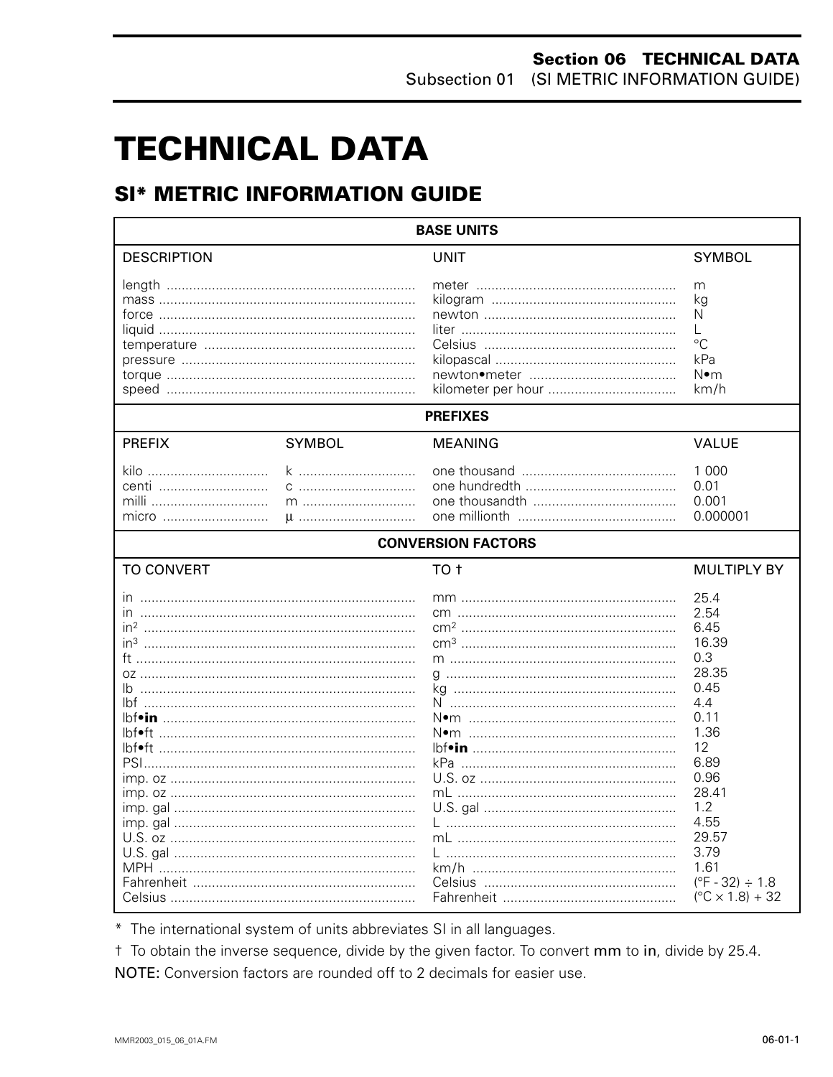# **TECHNICAL DATA**

# **SI\* METRIC INFORMATION GUIDE**

| <b>BASE UNITS</b>                                                                                                     |               |                           |                                                                                                                                                                                                                     |  |  |  |
|-----------------------------------------------------------------------------------------------------------------------|---------------|---------------------------|---------------------------------------------------------------------------------------------------------------------------------------------------------------------------------------------------------------------|--|--|--|
| <b>DESCRIPTION</b>                                                                                                    |               | <b>UNIT</b>               | <b>SYMBOL</b>                                                                                                                                                                                                       |  |  |  |
|                                                                                                                       |               |                           | m<br>kg<br>N<br>L<br>$\rm ^{\circ}C$<br>kPa<br>N∙m<br>km/h                                                                                                                                                          |  |  |  |
|                                                                                                                       |               | <b>PREFIXES</b>           |                                                                                                                                                                                                                     |  |  |  |
| <b>PREFIX</b>                                                                                                         | <b>SYMBOL</b> | MEANING                   | <b>VALUE</b>                                                                                                                                                                                                        |  |  |  |
| kilo<br>centi<br>milli<br>micro                                                                                       | U             |                           | 1 0 0 0<br>0.01<br>0.001<br>0.000001                                                                                                                                                                                |  |  |  |
|                                                                                                                       |               | <b>CONVERSION FACTORS</b> |                                                                                                                                                                                                                     |  |  |  |
| <b>TO CONVERT</b>                                                                                                     |               | TO <sub>t</sub>           | <b>MULTIPLY BY</b>                                                                                                                                                                                                  |  |  |  |
| $\mathsf{I} \mathsf{n}$<br>in <sup>3</sup><br>lb.<br>lbf•ft ……………………………………………………………<br>lbf•ft …………………………………………………………… |               | N•m ………………………………………………    | 25.4<br>2.54<br>6.45<br>16.39<br>0.3<br>28.35<br>0.45<br>4.4<br>0.11<br>1.36<br>12<br>6.89<br>0.96<br>28.41<br>1.2<br>4.55<br>29.57<br>3.79<br>1.61<br>$(^{\circ}F - 32) \div 1.8$<br>$(^{\circ}C \times 1.8) + 32$ |  |  |  |

\* The international system of units abbreviates SI in all languages.

t To obtain the inverse sequence, divide by the given factor. To convert mm to in, divide by 25.4. NOTE: Conversion factors are rounded off to 2 decimals for easier use.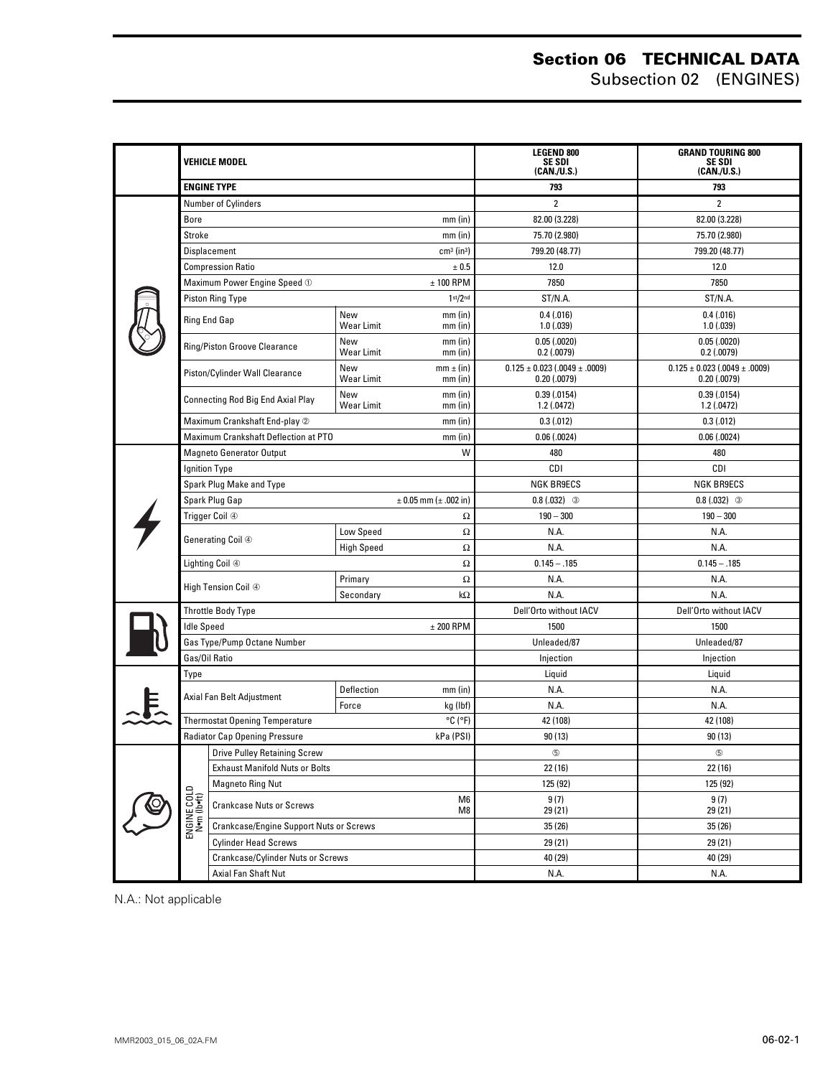#### **Section 06 TECHNICAL DATA** Subsection 02 (ENGINES)

|  | Vehicle model                                                  |                                                         |                                                |                            | <b>LEGEND 800</b><br>SE SDI<br>(CAN./U.S.)                | <b>GRAND TOURING 800</b><br>SE SDI<br>(CAN./U.S.)         |
|--|----------------------------------------------------------------|---------------------------------------------------------|------------------------------------------------|----------------------------|-----------------------------------------------------------|-----------------------------------------------------------|
|  | <b>ENGINE TYPE</b>                                             |                                                         |                                                |                            | 793                                                       | 793                                                       |
|  | <b>Number of Cylinders</b>                                     |                                                         |                                                |                            | $\overline{2}$                                            | $\overline{2}$                                            |
|  | Bore<br>$mm$ (in)                                              |                                                         |                                                |                            | 82.00 (3.228)                                             | 82.00 (3.228)                                             |
|  | Stroke<br>$mm$ (in)                                            |                                                         |                                                |                            | 75.70 (2.980)                                             | 75.70 (2.980)                                             |
|  | Displacement<br>$cm3$ (in <sup>3</sup> )                       |                                                         |                                                |                            | 799.20 (48.77)                                            | 799.20 (48.77)                                            |
|  | <b>Compression Ratio</b><br>± 0.5                              |                                                         |                                                |                            | 12.0                                                      | 12.0                                                      |
|  | Maximum Power Engine Speed 1<br>$± 100$ RPM                    |                                                         |                                                |                            | 7850                                                      | 7850                                                      |
|  | 1 <sup>st</sup> /2 <sup>nd</sup><br><b>Piston Ring Type</b>    |                                                         |                                                |                            | ST/N.A.                                                   | ST/N.A.                                                   |
|  |                                                                | Ring End Gap                                            | New<br>Wear Limit                              | $mm$ (in)<br>$mm$ (in)     | 0.4(0.016)<br>1.0(0.039)                                  | 0.4(0.016)<br>1.0(0.039)                                  |
|  |                                                                | Ring/Piston Groove Clearance                            | New<br>Wear Limit                              | $mm$ (in)<br>$mm$ (in)     | 0.05(0.0020)<br>$0.2$ (.0079)                             | 0.05(0.0020)<br>0.2(0.0079)                               |
|  |                                                                | Piston/Cylinder Wall Clearance                          | New<br>Wear Limit                              | $mm \pm (in)$<br>$mm$ (in) | $0.125 \pm 0.023$ (.0049 $\pm$ .0009)<br>$0.20$ $(.0079)$ | $0.125 \pm 0.023$ (.0049 $\pm$ .0009)<br>$0.20$ $(.0079)$ |
|  |                                                                | Connecting Rod Big End Axial Play                       | New<br><b>Wear Limit</b>                       | $mm$ (in)<br>$mm$ (in)     | 0.39(.0154)<br>1.2(0.0472)                                | 0.39(0.0154)<br>1.2(0.0472)                               |
|  |                                                                | Maximum Crankshaft End-play 2<br>$mm$ (in)              |                                                |                            | 0.3(0.012)                                                | 0.3(0.012)                                                |
|  | Maximum Crankshaft Deflection at PTO<br>$mm$ (in)              |                                                         |                                                |                            | 0.06(0.0024)                                              | 0.06(0.0024)                                              |
|  |                                                                | <b>Magneto Generator Output</b>                         |                                                | W                          | 480                                                       | 480                                                       |
|  |                                                                | Ignition Type                                           |                                                |                            | <b>CDI</b>                                                | CDI                                                       |
|  |                                                                | Spark Plug Make and Type                                |                                                |                            | <b>NGK BR9ECS</b>                                         | <b>NGK BR9ECS</b>                                         |
|  |                                                                | Spark Plug Gap                                          |                                                | $± 0.05$ mm ( $± .002$ in) | $0.8(.032)$ 3                                             | $0.8(0.032)$ 3                                            |
|  |                                                                | Trigger Coil 4                                          |                                                | Ω                          | $190 - 300$                                               | $190 - 300$                                               |
|  |                                                                | Generating Coil ④                                       | Low Speed                                      | $\Omega$                   | N.A.                                                      | N.A.                                                      |
|  |                                                                |                                                         | <b>High Speed</b>                              | Ω                          | N.A.                                                      | N.A.                                                      |
|  |                                                                | Lighting Coil 4                                         |                                                | $\Omega$                   | $0.145 - .185$                                            | $0.145 - .185$                                            |
|  |                                                                | High Tension Coil 4                                     | Primary                                        | Ω                          | N.A.                                                      | N.A.                                                      |
|  |                                                                |                                                         | Secondary                                      | $k\Omega$                  | N.A.                                                      | N.A.                                                      |
|  | <b>Throttle Body Type</b>                                      |                                                         |                                                |                            | Dell'Orto without IACV                                    | Dell'Orto without IACV                                    |
|  | <b>Idle Speed</b>                                              |                                                         |                                                | $± 200$ RPM                | 1500                                                      | 1500                                                      |
|  | Gas Type/Pump Octane Number                                    |                                                         |                                                |                            | Unleaded/87                                               | Unleaded/87                                               |
|  |                                                                | Gas/Oil Ratio                                           |                                                |                            | Injection                                                 | Injection                                                 |
|  | Type                                                           |                                                         |                                                |                            | Liquid                                                    | Liquid                                                    |
|  |                                                                | Axial Fan Belt Adjustment                               | Deflection                                     | $mm$ (in)                  | N.A.                                                      | N.A.                                                      |
|  |                                                                |                                                         | Force                                          | kg (lbf)                   | N.A.                                                      | N.A.                                                      |
|  | $^{\circ}$ C ( $^{\circ}$ F)<br>Thermostat Opening Temperature |                                                         |                                                |                            | 42 (108)                                                  | 42 (108)                                                  |
|  | kPa (PSI)<br><b>Radiator Cap Opening Pressure</b>              |                                                         |                                                |                            | 90 (13)                                                   | 90(13)                                                    |
|  | Drive Pulley Retaining Screw                                   |                                                         |                                                |                            | $\circledS$                                               | $\circledS$                                               |
|  | <b>Exhaust Manifold Nuts or Bolts</b>                          |                                                         |                                                |                            | 22 (16)                                                   | 22 (16)                                                   |
|  |                                                                | <b>Magneto Ring Nut</b>                                 |                                                | 125 (92)                   | 125 (92)                                                  |                                                           |
|  | ENGINE COLD<br>N•m (lb•ft)                                     | M <sub>6</sub><br><b>Crankcase Nuts or Screws</b><br>M8 |                                                |                            | 9(7)<br>29 (21)                                           | 9(7)<br>29 (21)                                           |
|  |                                                                |                                                         | <b>Crankcase/Engine Support Nuts or Screws</b> |                            | 35 (26)                                                   | 35(26)                                                    |
|  | <b>Cylinder Head Screws</b>                                    |                                                         |                                                |                            | 29 (21)                                                   | 29 (21)                                                   |
|  | Crankcase/Cylinder Nuts or Screws                              |                                                         |                                                |                            | 40 (29)                                                   | 40 (29)                                                   |
|  | Axial Fan Shaft Nut                                            |                                                         |                                                |                            | N.A.                                                      | N.A.                                                      |

N.A.: Not applicable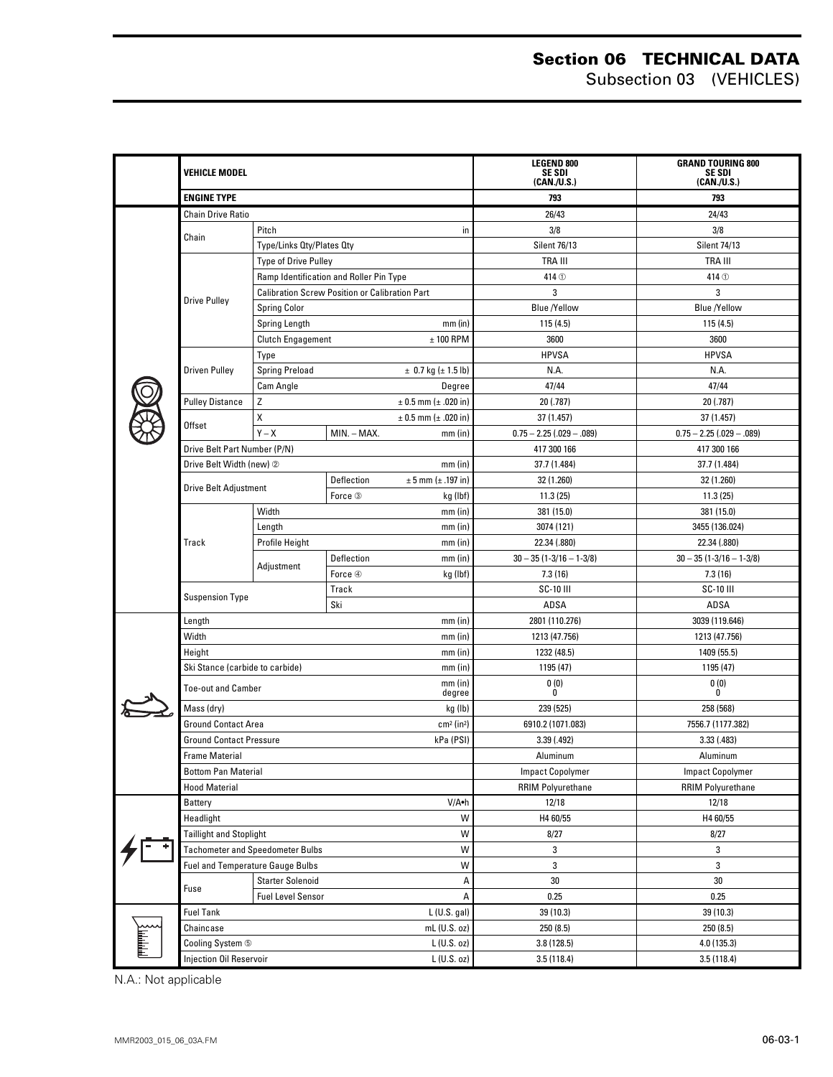#### **Section 06 TECHNICAL DATA** Subsection 03 (VEHICLES)

|  | <b>VEHICLE MODEL</b><br><b>ENGINE TYPE</b>    |                                                       |             |                           | <b>LEGEND 800</b><br>SE SDI<br>(CAN./U.S.) | <b>GRAND TOURING 800</b><br>SE SDI<br>(CAN./U.S.) |
|--|-----------------------------------------------|-------------------------------------------------------|-------------|---------------------------|--------------------------------------------|---------------------------------------------------|
|  |                                               |                                                       |             |                           | 793                                        | 793                                               |
|  | <b>Chain Drive Ratio</b>                      |                                                       |             |                           | 26/43                                      | 24/43                                             |
|  |                                               | Pitch<br>in                                           |             | 3/8                       | 3/8                                        |                                                   |
|  | Chain                                         | Type/Links Qty/Plates Qty                             |             |                           | Silent 76/13                               | <b>Silent 74/13</b>                               |
|  |                                               | <b>Type of Drive Pulley</b>                           |             |                           | TRA III                                    | TRA III                                           |
|  |                                               | Ramp Identification and Roller Pin Type               |             |                           | 414 <sup>O</sup>                           | 414 <sup>O</sup>                                  |
|  |                                               | <b>Calibration Screw Position or Calibration Part</b> |             |                           | 3                                          | 3                                                 |
|  | <b>Drive Pulley</b>                           | <b>Spring Color</b>                                   |             |                           | <b>Blue /Yellow</b>                        | <b>Blue /Yellow</b>                               |
|  |                                               | Spring Length<br>$mm$ (in)                            |             |                           | 115(4.5)                                   | 115(4.5)                                          |
|  |                                               | <b>Clutch Engagement</b><br>$± 100$ RPM               |             |                           | 3600                                       | 3600                                              |
|  |                                               | Type                                                  |             |                           | <b>HPVSA</b>                               | <b>HPVSA</b>                                      |
|  | <b>Driven Pulley</b>                          | <b>Spring Preload</b><br>$\pm$ 0.7 kg ( $\pm$ 1.5 lb) |             |                           | N.A.                                       | N.A.                                              |
|  |                                               | Cam Angle                                             |             | Degree                    | 47/44                                      | 47/44                                             |
|  | <b>Pulley Distance</b>                        | Ζ                                                     |             | $± 0.5$ mm ( $± .020$ in) | 20 (.787)                                  | 20 (.787)                                         |
|  | Offset                                        | Χ                                                     |             | $± 0.5$ mm ( $± .020$ in) | 37 (1.457)                                 | 37 (1.457)                                        |
|  |                                               | $Y - X$                                               | MIN. - MAX. | $mm$ (in)                 | $0.75 - 2.25$ (.029 - .089)                | $0.75 - 2.25$ (.029 - .089)                       |
|  | Drive Belt Part Number (P/N)                  |                                                       |             |                           | 417 300 166                                | 417 300 166                                       |
|  | Drive Belt Width (new) 2                      |                                                       |             | $mm$ (in)                 | 37.7 (1.484)                               | 37.7 (1.484)                                      |
|  | <b>Drive Belt Adjustment</b>                  |                                                       | Deflection  | $± 5$ mm ( $± .197$ in)   | 32 (1.260)                                 | 32 (1.260)                                        |
|  |                                               |                                                       | Force 3     | kg (lbf)                  | 11.3(25)                                   | 11.3(25)                                          |
|  |                                               | Width                                                 |             | $mm$ (in)                 | 381 (15.0)                                 | 381 (15.0)                                        |
|  |                                               | $mm$ (in)<br>Length                                   |             | 3074 (121)                | 3455 (136.024)                             |                                                   |
|  | Track                                         | Profile Height                                        |             | $mm$ (in)                 | 22.34 (.880)                               | 22.34 (.880)                                      |
|  |                                               | Adjustment                                            | Deflection  | $mm$ (in)                 | $30 - 35(1 - 3/16 - 1 - 3/8)$              | $30 - 35$ (1-3/16 - 1-3/8)                        |
|  |                                               |                                                       | Force 4     | kg (lbf)                  | 7.3(16)                                    | 7.3(16)                                           |
|  | <b>Suspension Type</b>                        |                                                       | Track       |                           | <b>SC-10 III</b>                           | <b>SC-10 III</b>                                  |
|  |                                               |                                                       | Ski         |                           | ADSA                                       | ADSA                                              |
|  | $mm$ (in)<br>Length                           |                                                       |             |                           | 2801 (110.276)                             | 3039 (119.646)                                    |
|  | Width                                         |                                                       |             | $mm$ (in)                 | 1213 (47.756)                              | 1213 (47.756)                                     |
|  | Height                                        |                                                       |             | $mm$ (in)                 | 1232 (48.5)                                | 1409 (55.5)                                       |
|  | Ski Stance (carbide to carbide)               |                                                       |             | $mm$ (in)                 | 1195 (47)                                  | 1195 (47)                                         |
|  | <b>Toe-out and Camber</b>                     |                                                       |             | $mm$ (in)<br>degree       | 0(0)<br>0                                  | 0(0)<br>0                                         |
|  | Mass (dry)                                    |                                                       |             | kg (lb)                   | 239 (525)                                  | 258 (568)                                         |
|  | <b>Ground Contact Area</b>                    |                                                       |             | $cm2$ (in <sup>2</sup> )  | 6910.2 (1071.083)                          | 7556.7 (1177.382)                                 |
|  | <b>Ground Contact Pressure</b><br>kPa (PSI)   |                                                       |             |                           | 3.39 (.492)                                | 3.33(0.483)                                       |
|  | <b>Frame Material</b>                         |                                                       |             |                           | Aluminum                                   | Aluminum                                          |
|  | <b>Bottom Pan Material</b>                    |                                                       |             |                           | <b>Impact Copolymer</b>                    | <b>Impact Copolymer</b>                           |
|  | <b>Hood Material</b>                          |                                                       |             |                           | <b>RRIM Polyurethane</b>                   | <b>RRIM Polyurethane</b>                          |
|  | V/A.h<br>Battery                              |                                                       |             |                           | 12/18                                      | 12/18                                             |
|  | W<br>Headlight                                |                                                       |             |                           | H4 60/55                                   | H4 60/55                                          |
|  | W<br><b>Taillight and Stoplight</b>           |                                                       |             |                           | 8/27                                       | 8/27                                              |
|  | W<br><b>Tachometer and Speedometer Bulbs</b>  |                                                       |             |                           | 3                                          | 3                                                 |
|  |                                               | <b>Fuel and Temperature Gauge Bulbs</b>               |             | W                         | 3                                          | 3                                                 |
|  |                                               | <b>Starter Solenoid</b><br>А                          |             |                           | 30                                         | 30                                                |
|  | Fuse                                          | <b>Fuel Level Sensor</b><br>А                         |             |                           | 0.25                                       | 0.25                                              |
|  | <b>Fuel Tank</b><br>L (U.S. gal)              |                                                       |             |                           | 39 (10.3)                                  | 39 (10.3)                                         |
|  | mL (U.S. oz)<br>Chaincase                     |                                                       |             |                           | 250 (8.5)                                  | 250 (8.5)                                         |
|  | L (U.S. oz)<br>Cooling System 5               |                                                       |             |                           | 3.8(128.5)                                 | 4.0 (135.3)                                       |
|  | <b>Injection Oil Reservoir</b><br>L (U.S. oz) |                                                       |             |                           | 3.5(118.4)                                 | 3.5(118.4)                                        |

N.A.: Not applicable